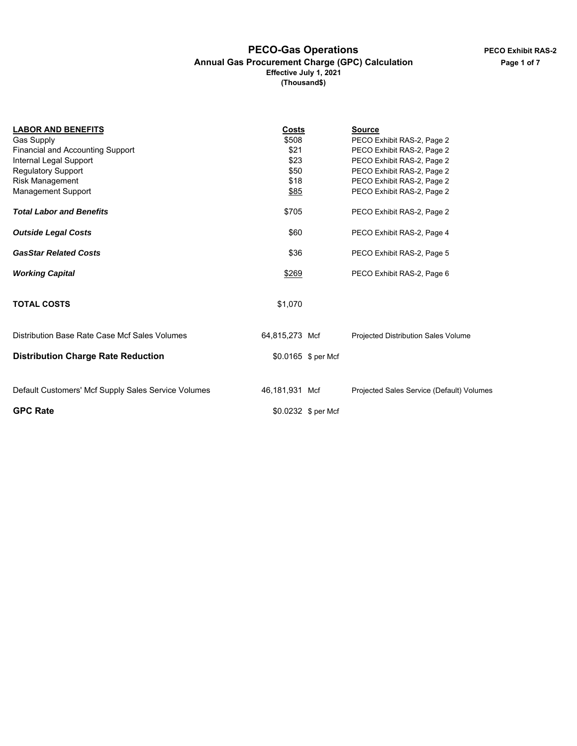#### **PECO-Gas Operations Annual Gas Procurement Charge (GPC) Calculation Effective July 1, 2021 (Thousand\$)**

| <b>LABOR AND BENEFITS</b>                           | Costs          |                     | <b>Source</b>                             |
|-----------------------------------------------------|----------------|---------------------|-------------------------------------------|
| <b>Gas Supply</b>                                   | \$508          |                     | PECO Exhibit RAS-2, Page 2                |
| <b>Financial and Accounting Support</b>             | \$21           |                     | PECO Exhibit RAS-2, Page 2                |
| Internal Legal Support                              | \$23           |                     | PECO Exhibit RAS-2, Page 2                |
| <b>Regulatory Support</b>                           | \$50           |                     | PECO Exhibit RAS-2, Page 2                |
| Risk Management                                     | \$18           |                     | PECO Exhibit RAS-2, Page 2                |
| Management Support                                  | \$85           |                     | PECO Exhibit RAS-2, Page 2                |
| <b>Total Labor and Benefits</b>                     | \$705          |                     | PECO Exhibit RAS-2, Page 2                |
| <b>Outside Legal Costs</b>                          | \$60           |                     | PECO Exhibit RAS-2, Page 4                |
| <b>GasStar Related Costs</b>                        | \$36           |                     | PECO Exhibit RAS-2, Page 5                |
| <b>Working Capital</b>                              | \$269          |                     | PECO Exhibit RAS-2, Page 6                |
| <b>TOTAL COSTS</b>                                  | \$1,070        |                     |                                           |
| Distribution Base Rate Case Mcf Sales Volumes       | 64,815,273 Mcf |                     | Projected Distribution Sales Volume       |
| <b>Distribution Charge Rate Reduction</b>           |                | \$0.0165 \$ per Mcf |                                           |
| Default Customers' Mcf Supply Sales Service Volumes | 46.181.931 Mcf |                     | Projected Sales Service (Default) Volumes |
|                                                     |                |                     |                                           |
| <b>GPC Rate</b>                                     |                | \$0.0232 \$ per Mcf |                                           |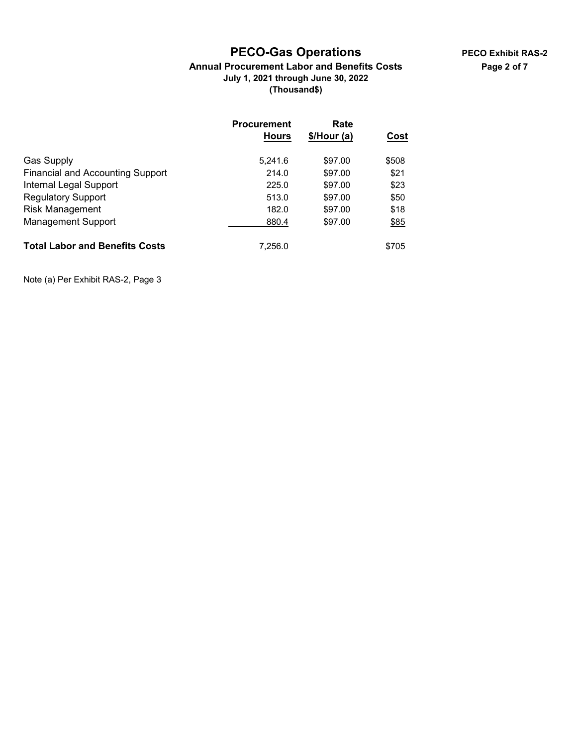## **PECO-Gas Operations**

### **Annual Procurement Labor and Benefits Costs July 1, 2021 through June 30, 2022 (Thousand\$)**

|                                         | <b>Procurement</b><br><b>Hours</b> | Rate<br>$$/$ Hour (a) | Cost  |
|-----------------------------------------|------------------------------------|-----------------------|-------|
| <b>Gas Supply</b>                       | 5,241.6                            | \$97.00               | \$508 |
| <b>Financial and Accounting Support</b> | 214.0                              | \$97.00               | \$21  |
| Internal Legal Support                  | 225.0                              | \$97.00               | \$23  |
| <b>Regulatory Support</b>               | 513.0                              | \$97.00               | \$50  |
| <b>Risk Management</b>                  | 182.0                              | \$97.00               | \$18  |
| <b>Management Support</b>               | 880.4                              | \$97.00               | \$85  |
| <b>Total Labor and Benefits Costs</b>   | 7,256.0                            |                       | \$705 |

Note (a) Per Exhibit RAS-2, Page 3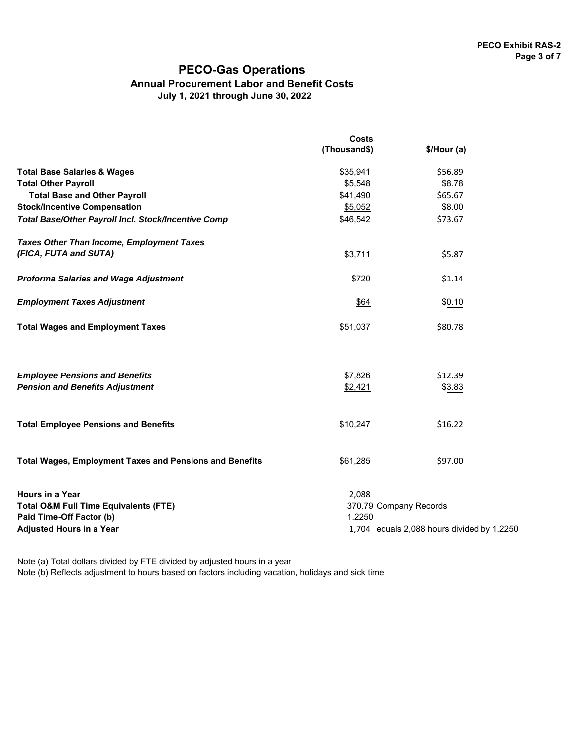### **PECO-Gas Operations Annual Procurement Labor and Benefit Costs July 1, 2021 through June 30, 2022**

|                                                                                                                                    | <b>Costs</b>                              |                                            |  |
|------------------------------------------------------------------------------------------------------------------------------------|-------------------------------------------|--------------------------------------------|--|
|                                                                                                                                    | (Thousand\$)                              | \$/Hour (a)                                |  |
| <b>Total Base Salaries &amp; Wages</b>                                                                                             | \$35,941                                  | \$56.89                                    |  |
| <b>Total Other Payroll</b>                                                                                                         | \$5,548                                   | \$8.78                                     |  |
| <b>Total Base and Other Payroll</b>                                                                                                | \$41,490                                  | \$65.67                                    |  |
| <b>Stock/Incentive Compensation</b>                                                                                                | \$5,052                                   | \$8.00                                     |  |
| Total Base/Other Payroll Incl. Stock/Incentive Comp                                                                                | \$46,542                                  | \$73.67                                    |  |
| <b>Taxes Other Than Income, Employment Taxes</b>                                                                                   |                                           |                                            |  |
| (FICA, FUTA and SUTA)                                                                                                              | \$3,711                                   | \$5.87                                     |  |
| <b>Proforma Salaries and Wage Adjustment</b>                                                                                       | \$720                                     | \$1.14                                     |  |
| <b>Employment Taxes Adjustment</b>                                                                                                 | \$64                                      | \$0.10                                     |  |
| <b>Total Wages and Employment Taxes</b>                                                                                            | \$51,037                                  | \$80.78                                    |  |
| <b>Employee Pensions and Benefits</b>                                                                                              | \$7,826                                   | \$12.39                                    |  |
| <b>Pension and Benefits Adjustment</b>                                                                                             | \$2,421                                   | \$3.83                                     |  |
| <b>Total Employee Pensions and Benefits</b>                                                                                        | \$10,247                                  | \$16.22                                    |  |
| <b>Total Wages, Employment Taxes and Pensions and Benefits</b>                                                                     | \$61,285                                  | \$97.00                                    |  |
| Hours in a Year<br><b>Total O&amp;M Full Time Equivalents (FTE)</b><br>Paid Time-Off Factor (b)<br><b>Adjusted Hours in a Year</b> | 2,088<br>370.79 Company Records<br>1.2250 | 1,704 equals 2,088 hours divided by 1.2250 |  |

Note (a) Total dollars divided by FTE divided by adjusted hours in a year

Note (b) Reflects adjustment to hours based on factors including vacation, holidays and sick time.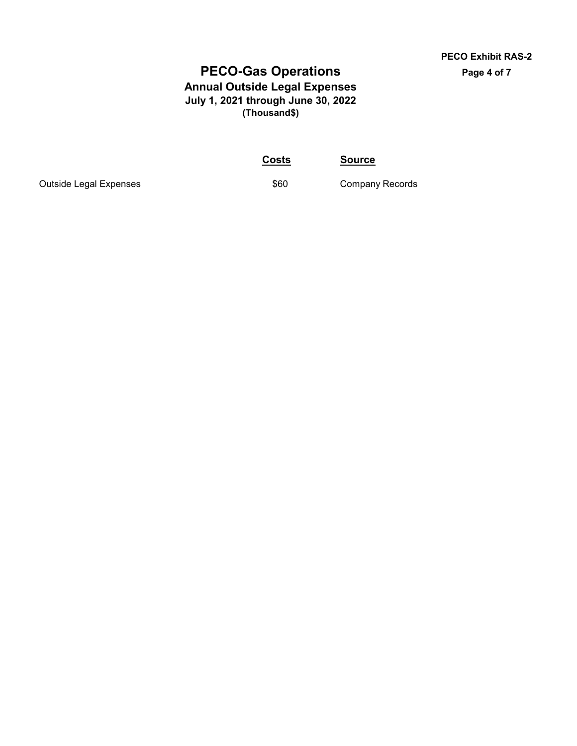## **PECO-Gas Operations Annual Outside Legal Expenses July 1, 2021 through June 30, 2022 (Thousand\$)**

**Costs Source**

Outside Legal Expenses **\$60** Company Records

**PECO Exhibit RAS-2 Page 4 of 7**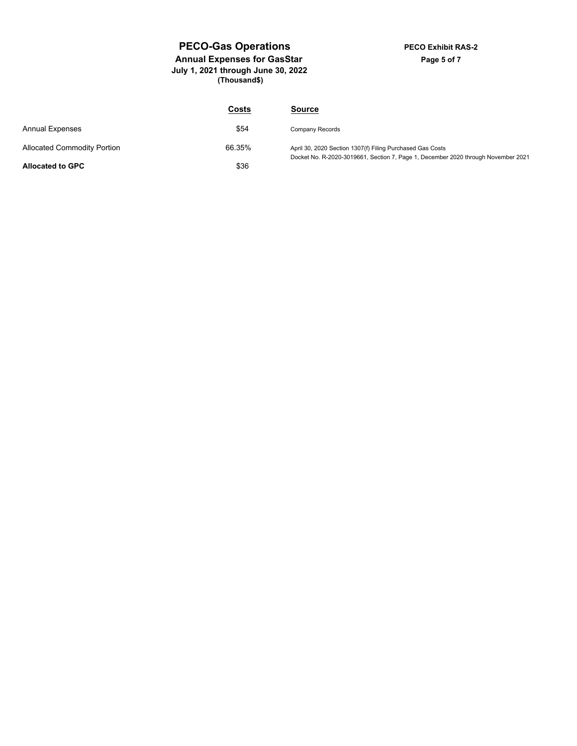#### **PECO-Gas Operations Annual Expenses for GasStar July 1, 2021 through June 30, 2022 (Thousand\$)**

|                                    | Costs  | <b>Source</b>                                                                                                                                  |
|------------------------------------|--------|------------------------------------------------------------------------------------------------------------------------------------------------|
| <b>Annual Expenses</b>             | \$54   | Company Records                                                                                                                                |
| <b>Allocated Commodity Portion</b> | 66.35% | April 30, 2020 Section 1307(f) Filing Purchased Gas Costs<br>Docket No. R-2020-3019661, Section 7, Page 1, December 2020 through November 2021 |
| <b>Allocated to GPC</b>            | \$36   |                                                                                                                                                |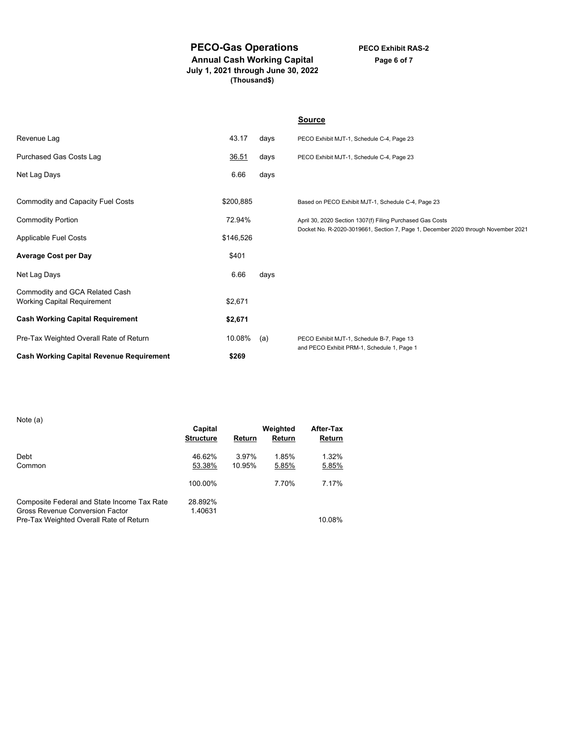### **PECO-Gas Operations**

**PECO Exhibit RAS-2 Page 6 of 7**

**Annual Cash Working Capital July 1, 2021 through June 30, 2022 (Thousand\$)**

|                                                                      |           |      | <b>Source</b>                                                                                                                                  |
|----------------------------------------------------------------------|-----------|------|------------------------------------------------------------------------------------------------------------------------------------------------|
| Revenue Lag                                                          | 43.17     | days | PECO Exhibit MJT-1, Schedule C-4, Page 23                                                                                                      |
| Purchased Gas Costs Lag                                              | 36.51     | days | PECO Exhibit MJT-1, Schedule C-4, Page 23                                                                                                      |
| Net Lag Days                                                         | 6.66      | days |                                                                                                                                                |
|                                                                      |           |      |                                                                                                                                                |
| Commodity and Capacity Fuel Costs                                    | \$200,885 |      | Based on PECO Exhibit MJT-1, Schedule C-4, Page 23                                                                                             |
| <b>Commodity Portion</b>                                             | 72.94%    |      | April 30, 2020 Section 1307(f) Filing Purchased Gas Costs<br>Docket No. R-2020-3019661, Section 7, Page 1, December 2020 through November 2021 |
| Applicable Fuel Costs                                                | \$146,526 |      |                                                                                                                                                |
| <b>Average Cost per Day</b>                                          | \$401     |      |                                                                                                                                                |
| Net Lag Days                                                         | 6.66      | days |                                                                                                                                                |
| Commodity and GCA Related Cash<br><b>Working Capital Requirement</b> | \$2,671   |      |                                                                                                                                                |
| <b>Cash Working Capital Requirement</b>                              | \$2,671   |      |                                                                                                                                                |
| Pre-Tax Weighted Overall Rate of Return                              | 10.08%    | (a)  | PECO Exhibit MJT-1, Schedule B-7, Page 13                                                                                                      |
| <b>Cash Working Capital Revenue Requirement</b>                      | \$269     |      | and PECO Exhibit PRM-1, Schedule 1, Page 1                                                                                                     |

Note (a)

| 1901G(8)                                                                                                                  | Capital<br><b>Structure</b> | Return          | Weighted<br>Return | After-Tax<br>Return |
|---------------------------------------------------------------------------------------------------------------------------|-----------------------------|-----------------|--------------------|---------------------|
| Debt<br>Common                                                                                                            | 46.62%<br>53.38%            | 3.97%<br>10.95% | 1.85%<br>5.85%     | 1.32%<br>5.85%      |
|                                                                                                                           | 100.00%                     |                 | 7.70%              | 7.17%               |
| Composite Federal and State Income Tax Rate<br>Gross Revenue Conversion Factor<br>Pre-Tax Weighted Overall Rate of Return | 28.892%<br>1.40631          |                 |                    | 10.08%              |